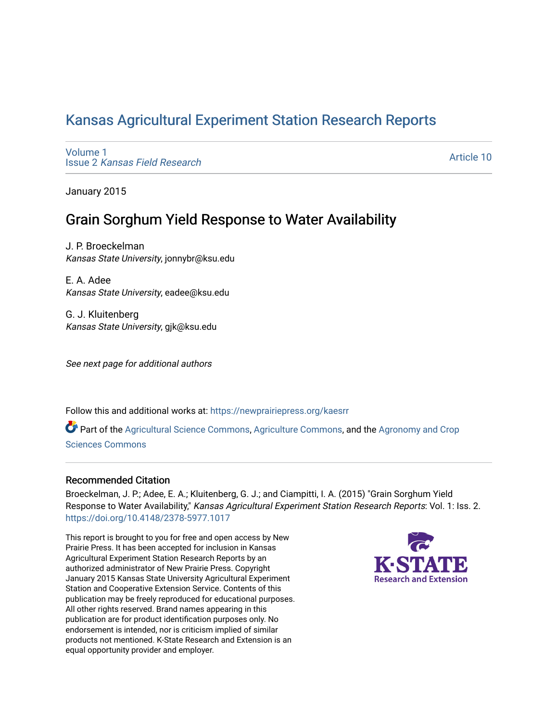# [Kansas Agricultural Experiment Station Research Reports](https://newprairiepress.org/kaesrr)

[Volume 1](https://newprairiepress.org/kaesrr/vol1) Issue 2 [Kansas Field Research](https://newprairiepress.org/kaesrr/vol1/iss2) 

[Article 10](https://newprairiepress.org/kaesrr/vol1/iss2/10) 

January 2015

## Grain Sorghum Yield Response to Water Availability

J. P. Broeckelman Kansas State University, jonnybr@ksu.edu

E. A. Adee Kansas State University, eadee@ksu.edu

G. J. Kluitenberg Kansas State University, gjk@ksu.edu

See next page for additional authors

Follow this and additional works at: [https://newprairiepress.org/kaesrr](https://newprairiepress.org/kaesrr?utm_source=newprairiepress.org%2Fkaesrr%2Fvol1%2Fiss2%2F10&utm_medium=PDF&utm_campaign=PDFCoverPages) 

Part of the [Agricultural Science Commons](http://network.bepress.com/hgg/discipline/1063?utm_source=newprairiepress.org%2Fkaesrr%2Fvol1%2Fiss2%2F10&utm_medium=PDF&utm_campaign=PDFCoverPages), [Agriculture Commons,](http://network.bepress.com/hgg/discipline/1076?utm_source=newprairiepress.org%2Fkaesrr%2Fvol1%2Fiss2%2F10&utm_medium=PDF&utm_campaign=PDFCoverPages) and the [Agronomy and Crop](http://network.bepress.com/hgg/discipline/103?utm_source=newprairiepress.org%2Fkaesrr%2Fvol1%2Fiss2%2F10&utm_medium=PDF&utm_campaign=PDFCoverPages) [Sciences Commons](http://network.bepress.com/hgg/discipline/103?utm_source=newprairiepress.org%2Fkaesrr%2Fvol1%2Fiss2%2F10&utm_medium=PDF&utm_campaign=PDFCoverPages) 

#### Recommended Citation

Broeckelman, J. P.; Adee, E. A.; Kluitenberg, G. J.; and Ciampitti, I. A. (2015) "Grain Sorghum Yield Response to Water Availability," Kansas Agricultural Experiment Station Research Reports: Vol. 1: Iss. 2. <https://doi.org/10.4148/2378-5977.1017>

This report is brought to you for free and open access by New Prairie Press. It has been accepted for inclusion in Kansas Agricultural Experiment Station Research Reports by an authorized administrator of New Prairie Press. Copyright January 2015 Kansas State University Agricultural Experiment Station and Cooperative Extension Service. Contents of this publication may be freely reproduced for educational purposes. All other rights reserved. Brand names appearing in this publication are for product identification purposes only. No endorsement is intended, nor is criticism implied of similar products not mentioned. K-State Research and Extension is an equal opportunity provider and employer.

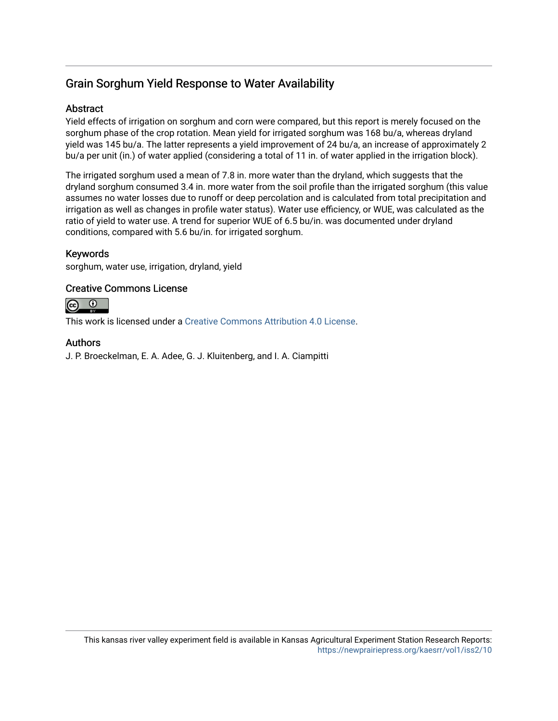## Grain Sorghum Yield Response to Water Availability

#### **Abstract**

Yield effects of irrigation on sorghum and corn were compared, but this report is merely focused on the sorghum phase of the crop rotation. Mean yield for irrigated sorghum was 168 bu/a, whereas dryland yield was 145 bu/a. The latter represents a yield improvement of 24 bu/a, an increase of approximately 2 bu/a per unit (in.) of water applied (considering a total of 11 in. of water applied in the irrigation block).

The irrigated sorghum used a mean of 7.8 in. more water than the dryland, which suggests that the dryland sorghum consumed 3.4 in. more water from the soil profile than the irrigated sorghum (this value assumes no water losses due to runoff or deep percolation and is calculated from total precipitation and irrigation as well as changes in profile water status). Water use efficiency, or WUE, was calculated as the ratio of yield to water use. A trend for superior WUE of 6.5 bu/in. was documented under dryland conditions, compared with 5.6 bu/in. for irrigated sorghum.

#### Keywords

sorghum, water use, irrigation, dryland, yield

#### Creative Commons License



This work is licensed under a [Creative Commons Attribution 4.0 License](https://creativecommons.org/licenses/by/4.0/).

#### Authors

J. P. Broeckelman, E. A. Adee, G. J. Kluitenberg, and I. A. Ciampitti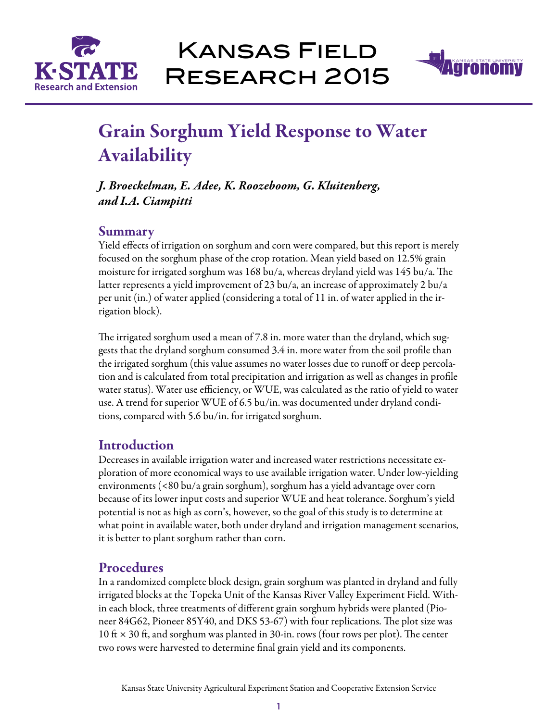



# Grain Sorghum Yield Response to Water Availability

*J. Broeckelman, E. Adee, K. Roozeboom, G. Kluitenberg, and I.A. Ciampitti*

### Summary

Yield effects of irrigation on sorghum and corn were compared, but this report is merely focused on the sorghum phase of the crop rotation. Mean yield based on 12.5% grain moisture for irrigated sorghum was 168 bu/a, whereas dryland yield was 145 bu/a. The latter represents a yield improvement of 23 bu/a, an increase of approximately 2 bu/a per unit (in.) of water applied (considering a total of 11 in. of water applied in the irrigation block).

The irrigated sorghum used a mean of 7.8 in. more water than the dryland, which suggests that the dryland sorghum consumed 3.4 in. more water from the soil profile than the irrigated sorghum (this value assumes no water losses due to runoff or deep percolation and is calculated from total precipitation and irrigation as well as changes in profile water status). Water use efficiency, or WUE, was calculated as the ratio of yield to water use. A trend for superior WUE of 6.5 bu/in. was documented under dryland conditions, compared with 5.6 bu/in. for irrigated sorghum.

## Introduction

Decreases in available irrigation water and increased water restrictions necessitate exploration of more economical ways to use available irrigation water. Under low-yielding environments (<80 bu/a grain sorghum), sorghum has a yield advantage over corn because of its lower input costs and superior WUE and heat tolerance. Sorghum's yield potential is not as high as corn's, however, so the goal of this study is to determine at what point in available water, both under dryland and irrigation management scenarios, it is better to plant sorghum rather than corn.

## Procedures

In a randomized complete block design, grain sorghum was planted in dryland and fully irrigated blocks at the Topeka Unit of the Kansas River Valley Experiment Field. Within each block, three treatments of different grain sorghum hybrids were planted (Pioneer 84G62, Pioneer 85Y40, and DKS 53-67) with four replications. The plot size was 10 ft  $\times$  30 ft, and sorghum was planted in 30-in. rows (four rows per plot). The center two rows were harvested to determine final grain yield and its components.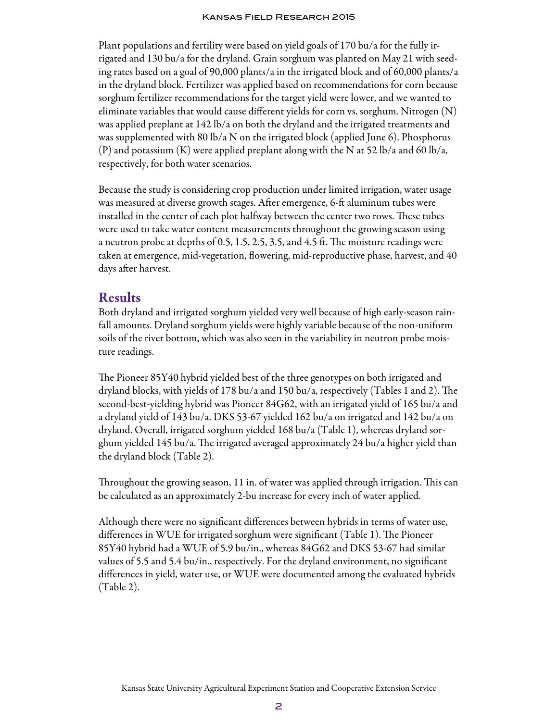#### Kansas Field Research 2015

Plant populations and fertility were based on yield goals of 170 bu/a for the fully irrigated and 130 bu/a for the dryland. Grain sorghum was planted on May 21 with seeding rates based on a goal of 90,000 plants/a in the irrigated block and of 60,000 plants/a in the dryland block. Fertilizer was applied based on recommendations for corn because sorghum fertilizer recommendations for the target yield were lower, and we wanted to eliminate variables that would cause different yields for corn vs. sorghum. Nitrogen  $(N)$ was applied preplant at 142 lb/a on both the dryland and the irrigated treatments and was supplemented with 80 lb/a N on the irrigated block (applied June 6). Phosphorus  $(P)$  and potassium  $(K)$  were applied preplant along with the N at 52 lb/a and 60 lb/a, respectively, for both water scenarios.

Because the study is considering crop production under limited irrigation, water usage was measured at diverse growth stages. After emergence, 6-ft aluminum tubes were installed in the center of each plot halfway between the center two rows. These tubes were used to take water content measurements throughout the growing season using a neutron probe at depths of 0.5, 1.5, 2.5, 3.5, and 4.5 ft. The moisture readings were taken at emergence, mid-vegetation, flowering, mid-reproductive phase, harvest, and 40 days after harvest.

#### Results

Both dryland and irrigated sorghum yielded very well because of high early-season rainfall amounts. Dryland sorghum yields were highly variable because of the non-uniform soils of the river bottom, which was also seen in the variability in neutron probe moisture readings.

The Pioneer 85Y40 hybrid yielded best of the three genotypes on both irrigated and dryland blocks, with yields of 178 bu/a and 150 bu/a, respectively (Tables 1 and 2). The second-best-yielding hybrid was Pioneer 84G62, with an irrigated yield of 165 bu/a and a dryland yield of 143 bu/a. DKS 53-67 yielded 162 bu/a on irrigated and 142 bu/a on dryland. Overall, irrigated sorghum yielded 168 bu/a (Table 1), whereas dryland sorghum yielded 145 bu/a. The irrigated averaged approximately 24 bu/a higher yield than the dryland block (Table 2).

Throughout the growing season, 11 in. of water was applied through irrigation. This can be calculated as an approximately 2-bu increase for every inch of water applied.

Although there were no significant differences between hybrids in terms of water use, differences in WUE for irrigated sorghum were significant (Table 1). The Pioneer 85Y40 hybrid had a WUE of 5.9 bu/in., whereas 84G62 and DKS 53-67 had similar values of 5.5 and 5.4 bu/in., respectively. For the dryland environment, no significant differences in yield, water use, or WUE were documented among the evaluated hybrids (Table 2).